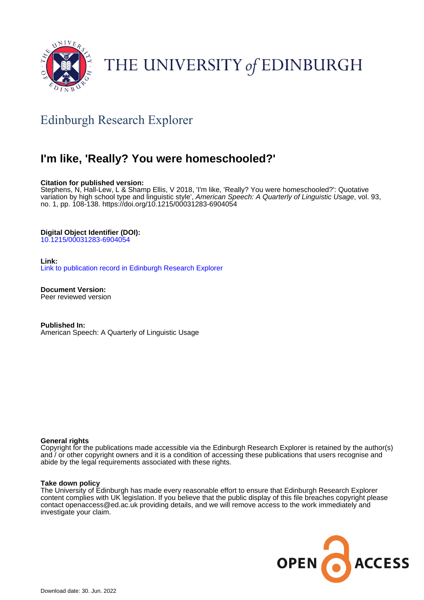

# THE UNIVERSITY of EDINBURGH

# Edinburgh Research Explorer

# **I'm like, 'Really? You were homeschooled?'**

# **Citation for published version:**

Stephens, N, Hall-Lew, L & Shamp Ellis, V 2018, 'I'm like, 'Really? You were homeschooled?': Quotative variation by high school type and linguistic style', American Speech: A Quarterly of Linguistic Usage, vol. 93, no. 1, pp. 108-138. <https://doi.org/10.1215/00031283-6904054>

# **Digital Object Identifier (DOI):**

[10.1215/00031283-6904054](https://doi.org/10.1215/00031283-6904054)

## **Link:**

[Link to publication record in Edinburgh Research Explorer](https://www.research.ed.ac.uk/en/publications/b9392c6c-8d98-47f4-aee1-eda683e492f7)

**Document Version:** Peer reviewed version

**Published In:** American Speech: A Quarterly of Linguistic Usage

## **General rights**

Copyright for the publications made accessible via the Edinburgh Research Explorer is retained by the author(s) and / or other copyright owners and it is a condition of accessing these publications that users recognise and abide by the legal requirements associated with these rights.

## **Take down policy**

The University of Edinburgh has made every reasonable effort to ensure that Edinburgh Research Explorer content complies with UK legislation. If you believe that the public display of this file breaches copyright please contact openaccess@ed.ac.uk providing details, and we will remove access to the work immediately and investigate your claim.

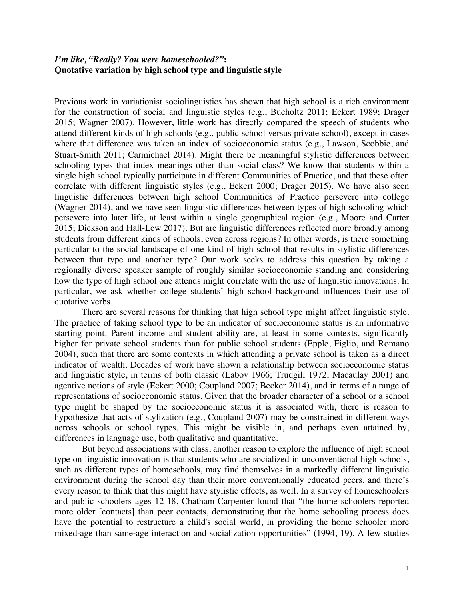# *I'm like, "Really? You were homeschooled?"***: Quotative variation by high school type and linguistic style**

Previous work in variationist sociolinguistics has shown that high school is a rich environment for the construction of social and linguistic styles (e.g., Bucholtz 2011; Eckert 1989; Drager 2015; Wagner 2007). However, little work has directly compared the speech of students who attend different kinds of high schools (e.g., public school versus private school), except in cases where that difference was taken an index of socioeconomic status (e.g., Lawson, Scobbie, and Stuart-Smith 2011; Carmichael 2014). Might there be meaningful stylistic differences between schooling types that index meanings other than social class? We know that students within a single high school typically participate in different Communities of Practice, and that these often correlate with different linguistic styles (e.g., Eckert 2000; Drager 2015). We have also seen linguistic differences between high school Communities of Practice persevere into college (Wagner 2014), and we have seen linguistic differences between types of high schooling which persevere into later life, at least within a single geographical region (e.g., Moore and Carter 2015; Dickson and Hall-Lew 2017). But are linguistic differences reflected more broadly among students from different kinds of schools, even across regions? In other words, is there something particular to the social landscape of one kind of high school that results in stylistic differences between that type and another type? Our work seeks to address this question by taking a regionally diverse speaker sample of roughly similar socioeconomic standing and considering how the type of high school one attends might correlate with the use of linguistic innovations. In particular, we ask whether college students' high school background influences their use of quotative verbs.

There are several reasons for thinking that high school type might affect linguistic style. The practice of taking school type to be an indicator of socioeconomic status is an informative starting point. Parent income and student ability are, at least in some contexts, significantly higher for private school students than for public school students (Epple, Figlio, and Romano 2004), such that there are some contexts in which attending a private school is taken as a direct indicator of wealth. Decades of work have shown a relationship between socioeconomic status and linguistic style, in terms of both classic (Labov 1966; Trudgill 1972; Macaulay 2001) and agentive notions of style (Eckert 2000; Coupland 2007; Becker 2014), and in terms of a range of representations of socioeconomic status. Given that the broader character of a school or a school type might be shaped by the socioeconomic status it is associated with, there is reason to hypothesize that acts of stylization (e.g., Coupland 2007) may be constrained in different ways across schools or school types. This might be visible in, and perhaps even attained by, differences in language use, both qualitative and quantitative.

But beyond associations with class, another reason to explore the influence of high school type on linguistic innovation is that students who are socialized in unconventional high schools, such as different types of homeschools, may find themselves in a markedly different linguistic environment during the school day than their more conventionally educated peers, and there's every reason to think that this might have stylistic effects, as well. In a survey of homeschoolers and public schoolers ages 12-18, Chatham-Carpenter found that "the home schoolers reported more older [contacts] than peer contacts, demonstrating that the home schooling process does have the potential to restructure a child's social world, in providing the home schooler more mixed-age than same-age interaction and socialization opportunities" (1994, 19). A few studies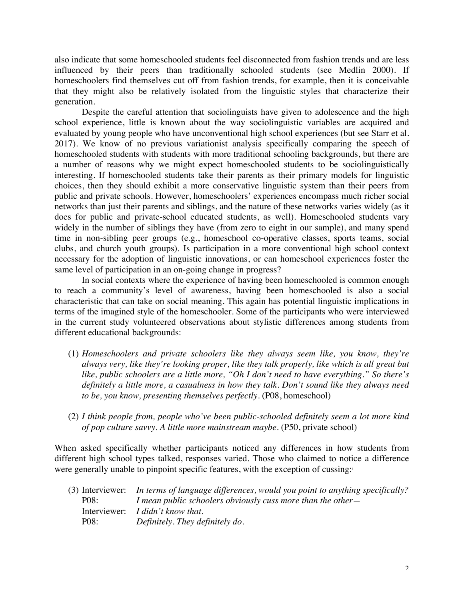also indicate that some homeschooled students feel disconnected from fashion trends and are less influenced by their peers than traditionally schooled students (see Medlin 2000). If homeschoolers find themselves cut off from fashion trends, for example, then it is conceivable that they might also be relatively isolated from the linguistic styles that characterize their generation.

Despite the careful attention that sociolinguists have given to adolescence and the high school experience, little is known about the way sociolinguistic variables are acquired and evaluated by young people who have unconventional high school experiences (but see Starr et al. 2017). We know of no previous variationist analysis specifically comparing the speech of homeschooled students with students with more traditional schooling backgrounds, but there are a number of reasons why we might expect homeschooled students to be sociolinguistically interesting. If homeschooled students take their parents as their primary models for linguistic choices, then they should exhibit a more conservative linguistic system than their peers from public and private schools. However, homeschoolers' experiences encompass much richer social networks than just their parents and siblings, and the nature of these networks varies widely (as it does for public and private-school educated students, as well). Homeschooled students vary widely in the number of siblings they have (from zero to eight in our sample), and many spend time in non-sibling peer groups (e.g., homeschool co-operative classes, sports teams, social clubs, and church youth groups). Is participation in a more conventional high school context necessary for the adoption of linguistic innovations, or can homeschool experiences foster the same level of participation in an on-going change in progress?

In social contexts where the experience of having been homeschooled is common enough to reach a community's level of awareness, having been homeschooled is also a social characteristic that can take on social meaning. This again has potential linguistic implications in terms of the imagined style of the homeschooler. Some of the participants who were interviewed in the current study volunteered observations about stylistic differences among students from different educational backgrounds:

- (1) *Homeschoolers and private schoolers like they always seem like, you know, they're always very, like they're looking proper, like they talk properly, like which is all great but like, public schoolers are a little more, "Oh I don't need to have everything." So there's definitely a little more, a casualness in how they talk. Don't sound like they always need to be, you know, presenting themselves perfectly.* (P08, homeschool)
- (2) *I think people from, people who've been public-schooled definitely seem a lot more kind of pop culture savvy. A little more mainstream maybe.* (P50, private school)

When asked specifically whether participants noticed any differences in how students from different high school types talked, responses varied. Those who claimed to notice a difference were generally unable to pinpoint specific features, with the exception of cussing:<sup>1</sup>

|                   | (3) Interviewer: In terms of language differences, would you point to anything specifically? |
|-------------------|----------------------------------------------------------------------------------------------|
| P <sub>08</sub> : | I mean public schoolers obviously cuss more than the other-                                  |
|                   | Interviewer: <i>I didn't know that.</i>                                                      |
| P <sub>08</sub> : | Definitely. They definitely do.                                                              |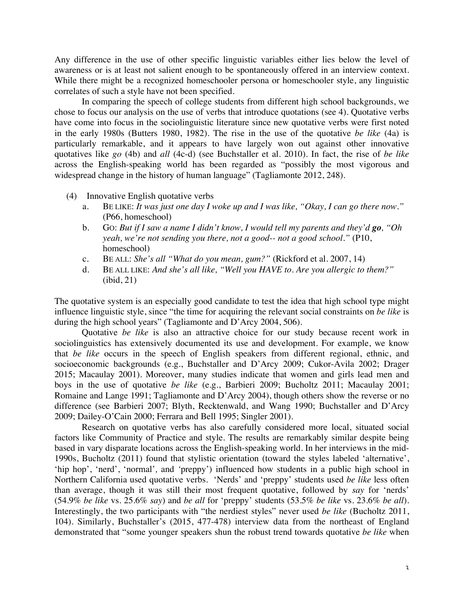Any difference in the use of other specific linguistic variables either lies below the level of awareness or is at least not salient enough to be spontaneously offered in an interview context. While there might be a recognized homeschooler persona or homeschooler style, any linguistic correlates of such a style have not been specified.

In comparing the speech of college students from different high school backgrounds, we chose to focus our analysis on the use of verbs that introduce quotations (see 4). Quotative verbs have come into focus in the sociolinguistic literature since new quotative verbs were first noted in the early 1980s (Butters 1980, 1982). The rise in the use of the quotative *be like* (4a) is particularly remarkable, and it appears to have largely won out against other innovative quotatives like *go* (4b) and *all* (4c-d) (see Buchstaller et al. 2010). In fact, the rise of *be like* across the English-speaking world has been regarded as "possibly the most vigorous and widespread change in the history of human language" (Tagliamonte 2012, 248).

- (4) Innovative English quotative verbs
	- a. BE LIKE: *It was just one day I woke up and I was like, "Okay, I can go there now."* (P66, homeschool)
	- b. GO: *But if I saw a name I didn't know, I would tell my parents and they'd go, "Oh yeah, we're not sending you there, not a good-- not a good school."* (P10, homeschool)
	- c. BE ALL: *She's all "What do you mean, gum?"* (Rickford et al. 2007, 14)
	- d. BE ALL LIKE: *And she's all like, "Well you HAVE to. Are you allergic to them?"* (ibid, 21)

The quotative system is an especially good candidate to test the idea that high school type might influence linguistic style, since "the time for acquiring the relevant social constraints on *be like* is during the high school years" (Tagliamonte and D'Arcy 2004, 506).

Quotative *be like* is also an attractive choice for our study because recent work in sociolinguistics has extensively documented its use and development. For example, we know that *be like* occurs in the speech of English speakers from different regional, ethnic, and socioeconomic backgrounds (e.g., Buchstaller and D'Arcy 2009; Cukor-Avila 2002; Drager 2015; Macaulay 2001). Moreover, many studies indicate that women and girls lead men and boys in the use of quotative *be like* (e.g., Barbieri 2009; Bucholtz 2011; Macaulay 2001; Romaine and Lange 1991; Tagliamonte and D'Arcy 2004), though others show the reverse or no difference (see Barbieri 2007; Blyth, Recktenwald, and Wang 1990; Buchstaller and D'Arcy 2009; Dailey-O'Cain 2000; Ferrara and Bell 1995; Singler 2001).

Research on quotative verbs has also carefully considered more local, situated social factors like Community of Practice and style. The results are remarkably similar despite being based in vary disparate locations across the English-speaking world. In her interviews in the mid-1990s, Bucholtz (2011) found that stylistic orientation (toward the styles labeled 'alternative', 'hip hop', 'nerd', 'normal'*,* and *'*preppy') influenced how students in a public high school in Northern California used quotative verbs. 'Nerds' and 'preppy' students used *be like* less often than average, though it was still their most frequent quotative, followed by *say* for 'nerds' (54.9% *be like* vs. 25.6% *say*) and *be all* for 'preppy' students (53.5% *be like* vs. 23.6% *be all*). Interestingly, the two participants with "the nerdiest styles" never used *be like* (Bucholtz 2011, 104). Similarly, Buchstaller's (2015, 477-478) interview data from the northeast of England demonstrated that "some younger speakers shun the robust trend towards quotative *be like* when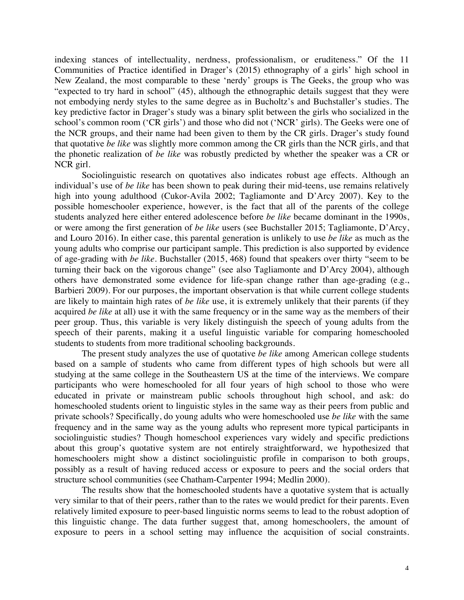indexing stances of intellectuality, nerdness, professionalism, or eruditeness." Of the 11 Communities of Practice identified in Drager's (2015) ethnography of a girls' high school in New Zealand, the most comparable to these 'nerdy' groups is The Geeks, the group who was "expected to try hard in school" (45), although the ethnographic details suggest that they were not embodying nerdy styles to the same degree as in Bucholtz's and Buchstaller's studies. The key predictive factor in Drager's study was a binary split between the girls who socialized in the school's common room ('CR girls') and those who did not ('NCR' girls). The Geeks were one of the NCR groups, and their name had been given to them by the CR girls. Drager's study found that quotative *be like* was slightly more common among the CR girls than the NCR girls, and that the phonetic realization of *be like* was robustly predicted by whether the speaker was a CR or NCR girl.

Sociolinguistic research on quotatives also indicates robust age effects. Although an individual's use of *be like* has been shown to peak during their mid-teens, use remains relatively high into young adulthood (Cukor-Avila 2002; Tagliamonte and D'Arcy 2007). Key to the possible homeschooler experience, however, is the fact that all of the parents of the college students analyzed here either entered adolescence before *be like* became dominant in the 1990s, or were among the first generation of *be like* users (see Buchstaller 2015; Tagliamonte, D'Arcy, and Louro 2016). In either case, this parental generation is unlikely to use *be like* as much as the young adults who comprise our participant sample. This prediction is also supported by evidence of age-grading with *be like*. Buchstaller (2015, 468) found that speakers over thirty "seem to be turning their back on the vigorous change" (see also Tagliamonte and D'Arcy 2004), although others have demonstrated some evidence for life-span change rather than age-grading (e.g., Barbieri 2009). For our purposes, the important observation is that while current college students are likely to maintain high rates of *be like* use, it is extremely unlikely that their parents (if they acquired *be like* at all) use it with the same frequency or in the same way as the members of their peer group. Thus, this variable is very likely distinguish the speech of young adults from the speech of their parents, making it a useful linguistic variable for comparing homeschooled students to students from more traditional schooling backgrounds.

The present study analyzes the use of quotative *be like* among American college students based on a sample of students who came from different types of high schools but were all studying at the same college in the Southeastern US at the time of the interviews. We compare participants who were homeschooled for all four years of high school to those who were educated in private or mainstream public schools throughout high school, and ask: do homeschooled students orient to linguistic styles in the same way as their peers from public and private schools? Specifically, do young adults who were homeschooled use *be like* with the same frequency and in the same way as the young adults who represent more typical participants in sociolinguistic studies? Though homeschool experiences vary widely and specific predictions about this group's quotative system are not entirely straightforward, we hypothesized that homeschoolers might show a distinct sociolinguistic profile in comparison to both groups, possibly as a result of having reduced access or exposure to peers and the social orders that structure school communities (see Chatham-Carpenter 1994; Medlin 2000).

The results show that the homeschooled students have a quotative system that is actually very similar to that of their peers, rather than to the rates we would predict for their parents. Even relatively limited exposure to peer-based linguistic norms seems to lead to the robust adoption of this linguistic change. The data further suggest that, among homeschoolers, the amount of exposure to peers in a school setting may influence the acquisition of social constraints.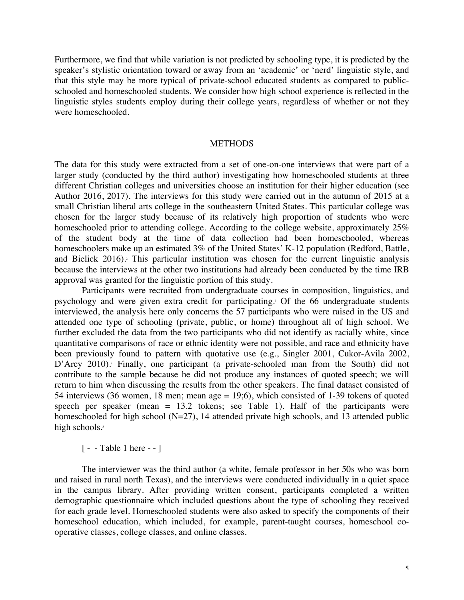Furthermore, we find that while variation is not predicted by schooling type, it is predicted by the speaker's stylistic orientation toward or away from an 'academic' or 'nerd' linguistic style, and that this style may be more typical of private-school educated students as compared to publicschooled and homeschooled students. We consider how high school experience is reflected in the linguistic styles students employ during their college years, regardless of whether or not they were homeschooled.

# METHODS

The data for this study were extracted from a set of one-on-one interviews that were part of a larger study (conducted by the third author) investigating how homeschooled students at three different Christian colleges and universities choose an institution for their higher education (see Author 2016, 2017). The interviews for this study were carried out in the autumn of 2015 at a small Christian liberal arts college in the southeastern United States. This particular college was chosen for the larger study because of its relatively high proportion of students who were homeschooled prior to attending college. According to the college website, approximately 25% of the student body at the time of data collection had been homeschooled, whereas homeschoolers make up an estimated 3% of the United States' K-12 population (Redford, Battle, and Bielick 2016). <sup>2</sup> This particular institution was chosen for the current linguistic analysis because the interviews at the other two institutions had already been conducted by the time IRB approval was granted for the linguistic portion of this study.

Participants were recruited from undergraduate courses in composition, linguistics, and psychology and were given extra credit for participating.3 Of the 66 undergraduate students interviewed, the analysis here only concerns the 57 participants who were raised in the US and attended one type of schooling (private, public, or home) throughout all of high school. We further excluded the data from the two participants who did not identify as racially white, since quantitative comparisons of race or ethnic identity were not possible, and race and ethnicity have been previously found to pattern with quotative use (e.g., Singler 2001, Cukor-Avila 2002, D'Arcy 2010). Finally, one participant (a private-schooled man from the South) did not contribute to the sample because he did not produce any instances of quoted speech; we will return to him when discussing the results from the other speakers. The final dataset consisted of 54 interviews (36 women, 18 men; mean age = 19;6), which consisted of 1-39 tokens of quoted speech per speaker (mean  $= 13.2$  tokens; see Table 1). Half of the participants were homeschooled for high school (N=27), 14 attended private high schools, and 13 attended public high schools.<sup>5</sup>

[ - - Table 1 here - - ]

The interviewer was the third author (a white, female professor in her 50s who was born and raised in rural north Texas), and the interviews were conducted individually in a quiet space in the campus library. After providing written consent, participants completed a written demographic questionnaire which included questions about the type of schooling they received for each grade level. Homeschooled students were also asked to specify the components of their homeschool education, which included, for example, parent-taught courses, homeschool cooperative classes, college classes, and online classes.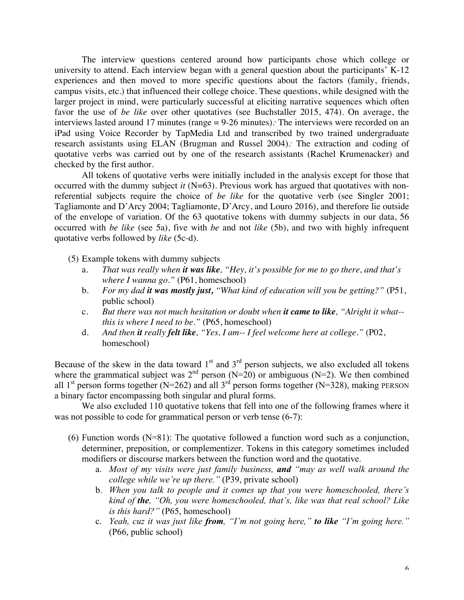The interview questions centered around how participants chose which college or university to attend. Each interview began with a general question about the participants' K-12 experiences and then moved to more specific questions about the factors (family, friends, campus visits, etc.) that influenced their college choice. These questions, while designed with the larger project in mind, were particularly successful at eliciting narrative sequences which often favor the use of *be like* over other quotatives (see Buchstaller 2015, 474). On average, the interviews lasted around 17 minutes (range = 9-26 minutes). <sup>6</sup> The interviews were recorded on an iPad using Voice Recorder by TapMedia Ltd and transcribed by two trained undergraduate research assistants using ELAN (Brugman and Russel 2004). <sup>7</sup> The extraction and coding of quotative verbs was carried out by one of the research assistants (Rachel Krumenacker) and checked by the first author.

All tokens of quotative verbs were initially included in the analysis except for those that occurred with the dummy subject *it* (N=63). Previous work has argued that quotatives with nonreferential subjects require the choice of *be like* for the quotative verb (see Singler 2001; Tagliamonte and D'Arcy 2004; Tagliamonte, D'Arcy, and Louro 2016), and therefore lie outside of the envelope of variation. Of the 63 quotative tokens with dummy subjects in our data, 56 occurred with *be like* (see 5a), five with *be* and not *like* (5b), and two with highly infrequent quotative verbs followed by *like* (5c-d).

- (5) Example tokens with dummy subjects
	- a. *That was really when it was like, "Hey, it's possible for me to go there, and that's where I wanna go."* (P61, homeschool)
	- b. *For my dad it was mostly just, "What kind of education will you be getting?"* (P51, public school)
	- c. *But there was not much hesitation or doubt when it came to like, "Alright it what- this is where I need to be."* (P65, homeschool)
	- d. *And then it really felt like, "Yes, I am-- I feel welcome here at college."* (P02, homeschool)

Because of the skew in the data toward  $1<sup>st</sup>$  and  $3<sup>rd</sup>$  person subjects, we also excluded all tokens where the grammatical subject was  $2^{nd}$  person (N=20) or ambiguous (N=2). We then combined all 1<sup>st</sup> person forms together (N=262) and all 3<sup>rd</sup> person forms together (N=328), making PERSON a binary factor encompassing both singular and plural forms.

We also excluded 110 quotative tokens that fell into one of the following frames where it was not possible to code for grammatical person or verb tense  $(6-7)$ :

- $(6)$  Function words  $(N=81)$ : The quotative followed a function word such as a conjunction, determiner, preposition, or complementizer. Tokens in this category sometimes included modifiers or discourse markers between the function word and the quotative.
	- a. *Most of my visits were just family business, and "may as well walk around the college while we're up there."* (P39, private school)
	- b. *When you talk to people and it comes up that you were homeschooled, there's kind of the, "Oh, you were homeschooled, that's, like was that real school? Like is this hard?"* (P65, homeschool)
	- c. *Yeah, cuz it was just like from, "I'm not going here," to like "I'm going here."* (P66, public school)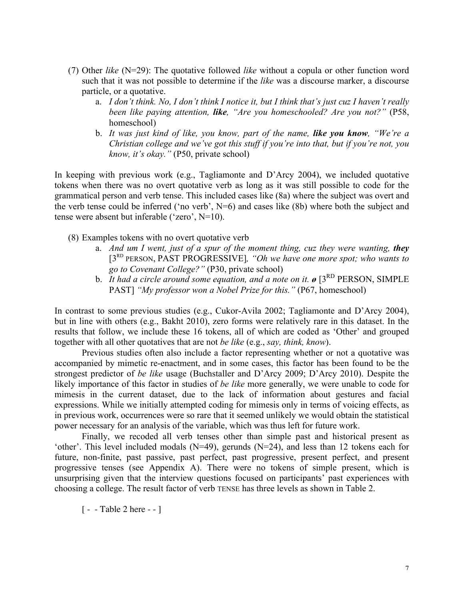- (7) Other *like* (N=29): The quotative followed *like* without a copula or other function word such that it was not possible to determine if the *like* was a discourse marker, a discourse particle, or a quotative.
	- a. *I don't think. No, I don't think I notice it, but I think that's just cuz I haven't really been like paying attention, like, "Are you homeschooled? Are you not?"* (P58, homeschool)
	- b. *It was just kind of like, you know, part of the name, like you know, "We're a Christian college and we've got this stuff if you're into that, but if you're not, you know, it's okay."* (P50, private school)

In keeping with previous work (e.g., Tagliamonte and D'Arcy 2004), we included quotative tokens when there was no overt quotative verb as long as it was still possible to code for the grammatical person and verb tense. This included cases like (8a) where the subject was overt and the verb tense could be inferred ('no verb', N=6) and cases like (8b) where both the subject and tense were absent but inferable ('zero', N=10).

- (8) Examples tokens with no overt quotative verb
	- a. *And um I went, just of a spur of the moment thing, cuz they were wanting, they* [3RD PERSON, PAST PROGRESSIVE]*, "Oh we have one more spot; who wants to go to Covenant College?"* (P30, private school)
	- b. *It had a circle around some equation, and a note on it.*  $\boldsymbol{\theta}$  [3<sup>RD</sup> PERSON, SIMPLE PAST] *"My professor won a Nobel Prize for this."* (P67, homeschool)

In contrast to some previous studies (e.g., Cukor-Avila 2002; Tagliamonte and D'Arcy 2004), but in line with others (e.g., Bakht 2010), zero forms were relatively rare in this dataset. In the results that follow, we include these 16 tokens, all of which are coded as 'Other' and grouped together with all other quotatives that are not *be like* (e.g., *say, think, know*).

Previous studies often also include a factor representing whether or not a quotative was accompanied by mimetic re-enactment, and in some cases, this factor has been found to be the strongest predictor of *be like* usage (Buchstaller and D'Arcy 2009; D'Arcy 2010). Despite the likely importance of this factor in studies of *be like* more generally, we were unable to code for mimesis in the current dataset, due to the lack of information about gestures and facial expressions. While we initially attempted coding for mimesis only in terms of voicing effects, as in previous work, occurrences were so rare that it seemed unlikely we would obtain the statistical power necessary for an analysis of the variable, which was thus left for future work.

Finally, we recoded all verb tenses other than simple past and historical present as 'other'. This level included modals (N=49), gerunds (N=24), and less than 12 tokens each for future, non-finite, past passive, past perfect, past progressive, present perfect, and present progressive tenses (see Appendix A). There were no tokens of simple present, which is unsurprising given that the interview questions focused on participants' past experiences with choosing a college. The result factor of verb TENSE has three levels as shown in Table 2.

[ - - Table 2 here - - ]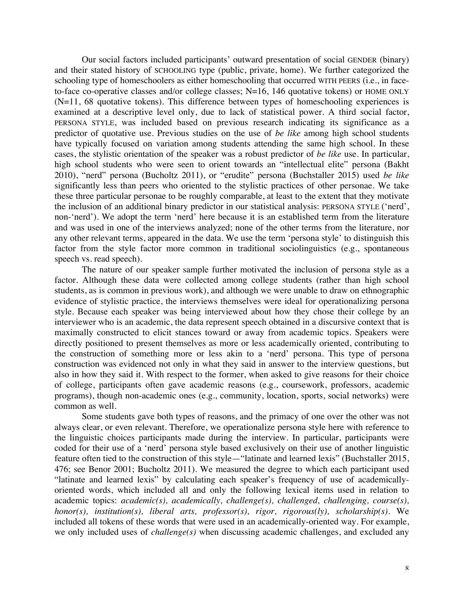Our social factors included participants' outward presentation of social GENDER (binary) and their stated history of SCHOOLING type (public, private, home). We further categorized the schooling type of homeschoolers as either homeschooling that occurred WITH PEERS (i.e., in faceto-face co-operative classes and/or college classes; N=16, 146 quotative tokens) or HOME ONLY (N=11, 68 quotative tokens)*.* This difference between types of homeschooling experiences is examined at a descriptive level only, due to lack of statistical power. A third social factor, PERSONA STYLE, was included based on previous research indicating its significance as a predictor of quotative use. Previous studies on the use of *be like* among high school students have typically focused on variation among students attending the same high school. In these cases, the stylistic orientation of the speaker was a robust predictor of *be like* use. In particular, high school students who were seen to orient towards an "intellectual elite" persona (Bakht 2010), "nerd" persona (Bucholtz 2011), or "erudite" persona (Buchstaller 2015) used *be like*  significantly less than peers who oriented to the stylistic practices of other personae. We take these three particular personae to be roughly comparable, at least to the extent that they motivate the inclusion of an additional binary predictor in our statistical analysis: PERSONA STYLE ('nerd', non-'nerd'). We adopt the term 'nerd' here because it is an established term from the literature and was used in one of the interviews analyzed; none of the other terms from the literature, nor any other relevant terms, appeared in the data. We use the term 'persona style' to distinguish this factor from the style factor more common in traditional sociolinguistics (e.g., spontaneous speech vs. read speech).

The nature of our speaker sample further motivated the inclusion of persona style as a factor. Although these data were collected among college students (rather than high school students, as is common in previous work), and although we were unable to draw on ethnographic evidence of stylistic practice, the interviews themselves were ideal for operationalizing persona style. Because each speaker was being interviewed about how they chose their college by an interviewer who is an academic, the data represent speech obtained in a discursive context that is maximally constructed to elicit stances toward or away from academic topics. Speakers were directly positioned to present themselves as more or less academically oriented, contributing to the construction of something more or less akin to a 'nerd' persona. This type of persona construction was evidenced not only in what they said in answer to the interview questions, but also in how they said it. With respect to the former, when asked to give reasons for their choice of college, participants often gave academic reasons (e.g., coursework, professors, academic programs), though non-academic ones (e.g., community, location, sports, social networks) were common as well.

Some students gave both types of reasons, and the primacy of one over the other was not always clear, or even relevant. Therefore, we operationalize persona style here with reference to the linguistic choices participants made during the interview. In particular, participants were coded for their use of a 'nerd' persona style based exclusively on their use of another linguistic feature often tied to the construction of this style—"latinate and learned lexis" (Buchstaller 2015, 476; see Benor 2001; Bucholtz 2011). We measured the degree to which each participant used "latinate and learned lexis" by calculating each speaker's frequency of use of academicallyoriented words, which included all and only the following lexical items used in relation to academic topics: *academic(s), academically, challenge(s), challenged, challenging, course(s), honor(s), institution(s), liberal arts, professor(s), rigor, rigorous(ly), scholarship(s)*. We included all tokens of these words that were used in an academically-oriented way. For example, we only included uses of *challenge(s)* when discussing academic challenges, and excluded any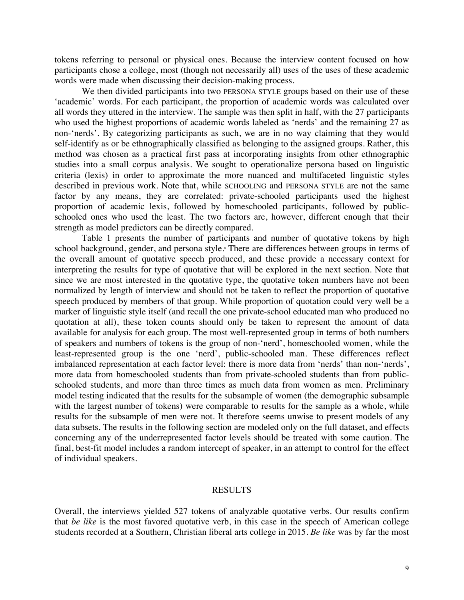tokens referring to personal or physical ones. Because the interview content focused on how participants chose a college, most (though not necessarily all) uses of the uses of these academic words were made when discussing their decision-making process.

We then divided participants into two PERSONA STYLE groups based on their use of these 'academic' words. For each participant, the proportion of academic words was calculated over all words they uttered in the interview. The sample was then split in half, with the 27 participants who used the highest proportions of academic words labeled as 'nerds' and the remaining 27 as non-'nerds'. By categorizing participants as such, we are in no way claiming that they would self-identify as or be ethnographically classified as belonging to the assigned groups. Rather, this method was chosen as a practical first pass at incorporating insights from other ethnographic studies into a small corpus analysis. We sought to operationalize persona based on linguistic criteria (lexis) in order to approximate the more nuanced and multifaceted linguistic styles described in previous work. Note that, while SCHOOLING and PERSONA STYLE are not the same factor by any means, they are correlated: private-schooled participants used the highest proportion of academic lexis, followed by homeschooled participants, followed by publicschooled ones who used the least. The two factors are, however, different enough that their strength as model predictors can be directly compared.

Table 1 presents the number of participants and number of quotative tokens by high school background, gender, and persona style. <sup>8</sup> There are differences between groups in terms of the overall amount of quotative speech produced, and these provide a necessary context for interpreting the results for type of quotative that will be explored in the next section. Note that since we are most interested in the quotative type, the quotative token numbers have not been normalized by length of interview and should not be taken to reflect the proportion of quotative speech produced by members of that group. While proportion of quotation could very well be a marker of linguistic style itself (and recall the one private-school educated man who produced no quotation at all), these token counts should only be taken to represent the amount of data available for analysis for each group. The most well-represented group in terms of both numbers of speakers and numbers of tokens is the group of non-'nerd', homeschooled women, while the least-represented group is the one 'nerd', public-schooled man. These differences reflect imbalanced representation at each factor level: there is more data from 'nerds' than non-'nerds', more data from homeschooled students than from private-schooled students than from publicschooled students, and more than three times as much data from women as men. Preliminary model testing indicated that the results for the subsample of women (the demographic subsample with the largest number of tokens) were comparable to results for the sample as a whole, while results for the subsample of men were not. It therefore seems unwise to present models of any data subsets. The results in the following section are modeled only on the full dataset, and effects concerning any of the underrepresented factor levels should be treated with some caution. The final, best-fit model includes a random intercept of speaker, in an attempt to control for the effect of individual speakers.

# RESULTS

Overall, the interviews yielded 527 tokens of analyzable quotative verbs. Our results confirm that *be like* is the most favored quotative verb, in this case in the speech of American college students recorded at a Southern, Christian liberal arts college in 2015. *Be like* was by far the most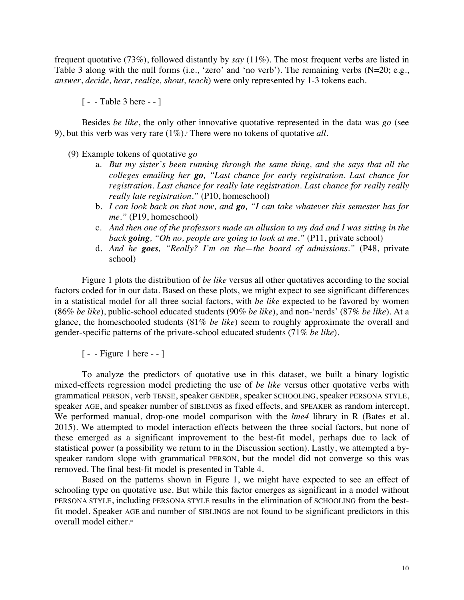frequent quotative (73%), followed distantly by *say* (11%). The most frequent verbs are listed in Table 3 along with the null forms (i.e., 'zero' and 'no verb'). The remaining verbs (N=20; e.g., *answer*, *decide, hear, realize, shout, teach*) were only represented by 1-3 tokens each.

[ - - Table 3 here - - ]

Besides *be like*, the only other innovative quotative represented in the data was *go* (see 9), but this verb was very rare  $(1\%)$ . There were no tokens of quotative *all*.

(9) Example tokens of quotative *go*

- a. *But my sister's been running through the same thing, and she says that all the colleges emailing her go, "Last chance for early registration. Last chance for registration. Last chance for really late registration. Last chance for really really really late registration."* (P10, homeschool)
- b. *I can look back on that now, and go, "I can take whatever this semester has for me."* (P19, homeschool)
- c. *And then one of the professors made an allusion to my dad and I was sitting in the back going, "Oh no, people are going to look at me."* (P11, private school)
- d. *And he goes, "Really? I'm on the—the board of admissions."* (P48, private school)

Figure 1 plots the distribution of *be like* versus all other quotatives according to the social factors coded for in our data. Based on these plots, we might expect to see significant differences in a statistical model for all three social factors, with *be like* expected to be favored by women (86% *be like*), public-school educated students (90% *be like*), and non-'nerds' (87% *be like*). At a glance, the homeschooled students (81% *be like*) seem to roughly approximate the overall and gender-specific patterns of the private-school educated students (71% *be like*).

[ - - Figure 1 here - - ]

To analyze the predictors of quotative use in this dataset, we built a binary logistic mixed-effects regression model predicting the use of *be like* versus other quotative verbs with grammatical PERSON, verb TENSE, speaker GENDER, speaker SCHOOLING, speaker PERSONA STYLE, speaker AGE, and speaker number of SIBLINGS as fixed effects, and SPEAKER as random intercept. We performed manual, drop-one model comparison with the *lme4* library in R (Bates et al. 2015). We attempted to model interaction effects between the three social factors, but none of these emerged as a significant improvement to the best-fit model, perhaps due to lack of statistical power (a possibility we return to in the Discussion section). Lastly, we attempted a byspeaker random slope with grammatical PERSON, but the model did not converge so this was removed. The final best-fit model is presented in Table 4.

Based on the patterns shown in Figure 1, we might have expected to see an effect of schooling type on quotative use. But while this factor emerges as significant in a model without PERSONA STYLE, including PERSONA STYLE results in the elimination of SCHOOLING from the bestfit model. Speaker AGE and number of SIBLINGS are not found to be significant predictors in this overall model either. 10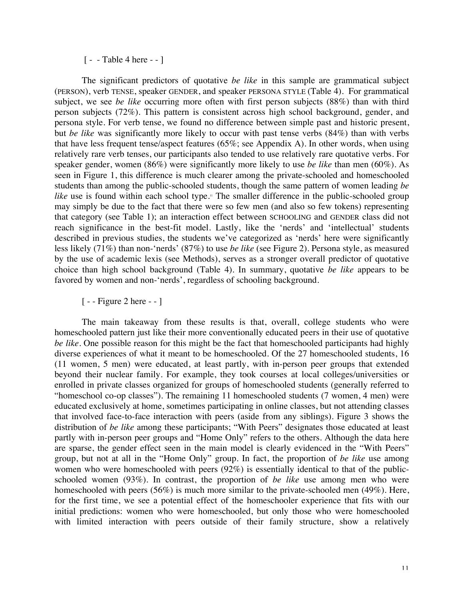# [ - - Table 4 here - - ]

The significant predictors of quotative *be like* in this sample are grammatical subject (PERSON), verb TENSE, speaker GENDER, and speaker PERSONA STYLE (Table 4). For grammatical subject, we see *be like* occurring more often with first person subjects (88%) than with third person subjects (72%). This pattern is consistent across high school background, gender, and persona style. For verb tense, we found no difference between simple past and historic present, but *be like* was significantly more likely to occur with past tense verbs (84%) than with verbs that have less frequent tense/aspect features (65%; see Appendix A). In other words, when using relatively rare verb tenses, our participants also tended to use relatively rare quotative verbs. For speaker gender, women (86%) were significantly more likely to use *be like* than men (60%). As seen in Figure 1, this difference is much clearer among the private-schooled and homeschooled students than among the public-schooled students, though the same pattern of women leading *be*  like use is found within each school type.<sup>11</sup> The smaller difference in the public-schooled group may simply be due to the fact that there were so few men (and also so few tokens) representing that category (see Table 1); an interaction effect between SCHOOLING and GENDER class did not reach significance in the best-fit model. Lastly, like the 'nerds' and 'intellectual' students described in previous studies, the students we've categorized as 'nerds' here were significantly less likely (71%) than non-'nerds' (87%) to use *be like* (see Figure 2). Persona style, as measured by the use of academic lexis (see Methods), serves as a stronger overall predictor of quotative choice than high school background (Table 4). In summary, quotative *be like* appears to be favored by women and non-'nerds', regardless of schooling background.

# [ - - Figure 2 here - - ]

The main takeaway from these results is that, overall, college students who were homeschooled pattern just like their more conventionally educated peers in their use of quotative *be like*. One possible reason for this might be the fact that homeschooled participants had highly diverse experiences of what it meant to be homeschooled. Of the 27 homeschooled students, 16 (11 women, 5 men) were educated, at least partly, with in-person peer groups that extended beyond their nuclear family. For example, they took courses at local colleges/universities or enrolled in private classes organized for groups of homeschooled students (generally referred to "homeschool co-op classes"). The remaining 11 homeschooled students (7 women, 4 men) were educated exclusively at home, sometimes participating in online classes, but not attending classes that involved face-to-face interaction with peers (aside from any siblings). Figure 3 shows the distribution of *be like* among these participants; "With Peers" designates those educated at least partly with in-person peer groups and "Home Only" refers to the others. Although the data here are sparse, the gender effect seen in the main model is clearly evidenced in the "With Peers" group, but not at all in the "Home Only" group. In fact, the proportion of *be like* use among women who were homeschooled with peers (92%) is essentially identical to that of the publicschooled women (93%). In contrast, the proportion of *be like* use among men who were homeschooled with peers (56%) is much more similar to the private-schooled men (49%). Here, for the first time, we see a potential effect of the homeschooler experience that fits with our initial predictions: women who were homeschooled, but only those who were homeschooled with limited interaction with peers outside of their family structure, show a relatively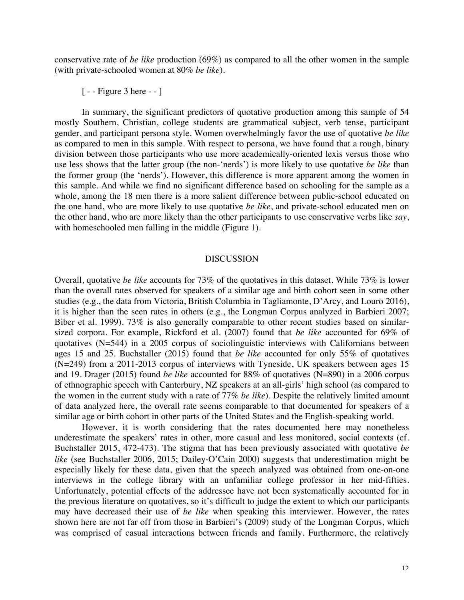conservative rate of *be like* production (69%) as compared to all the other women in the sample (with private-schooled women at 80% *be like*).

[ - - Figure 3 here - - ]

In summary, the significant predictors of quotative production among this sample of 54 mostly Southern, Christian, college students are grammatical subject, verb tense, participant gender, and participant persona style. Women overwhelmingly favor the use of quotative *be like* as compared to men in this sample. With respect to persona, we have found that a rough, binary division between those participants who use more academically-oriented lexis versus those who use less shows that the latter group (the non-'nerds') is more likely to use quotative *be like* than the former group (the 'nerds'). However, this difference is more apparent among the women in this sample. And while we find no significant difference based on schooling for the sample as a whole, among the 18 men there is a more salient difference between public-school educated on the one hand, who are more likely to use quotative *be like*, and private-school educated men on the other hand, who are more likely than the other participants to use conservative verbs like *say*, with homeschooled men falling in the middle (Figure 1).

# DISCUSSION

Overall, quotative *be like* accounts for 73% of the quotatives in this dataset. While 73% is lower than the overall rates observed for speakers of a similar age and birth cohort seen in some other studies (e.g., the data from Victoria, British Columbia in Tagliamonte, D'Arcy, and Louro 2016), it is higher than the seen rates in others (e.g., the Longman Corpus analyzed in Barbieri 2007; Biber et al. 1999). 73% is also generally comparable to other recent studies based on similarsized corpora. For example, Rickford et al. (2007) found that *be like* accounted for 69% of quotatives (N=544) in a 2005 corpus of sociolinguistic interviews with Californians between ages 15 and 25. Buchstaller (2015) found that *be like* accounted for only 55% of quotatives (N=249) from a 2011-2013 corpus of interviews with Tyneside, UK speakers between ages 15 and 19. Drager (2015) found *be like* accounted for 88% of quotatives (N=890) in a 2006 corpus of ethnographic speech with Canterbury, NZ speakers at an all-girls' high school (as compared to the women in the current study with a rate of 77% *be like*). Despite the relatively limited amount of data analyzed here, the overall rate seems comparable to that documented for speakers of a similar age or birth cohort in other parts of the United States and the English-speaking world.

However, it is worth considering that the rates documented here may nonetheless underestimate the speakers' rates in other, more casual and less monitored, social contexts (cf. Buchstaller 2015, 472-473). The stigma that has been previously associated with quotative *be like* (see Buchstaller 2006, 2015; Dailey-O'Cain 2000) suggests that underestimation might be especially likely for these data, given that the speech analyzed was obtained from one-on-one interviews in the college library with an unfamiliar college professor in her mid-fifties. Unfortunately, potential effects of the addressee have not been systematically accounted for in the previous literature on quotatives, so it's difficult to judge the extent to which our participants may have decreased their use of *be like* when speaking this interviewer. However, the rates shown here are not far off from those in Barbieri's (2009) study of the Longman Corpus, which was comprised of casual interactions between friends and family. Furthermore, the relatively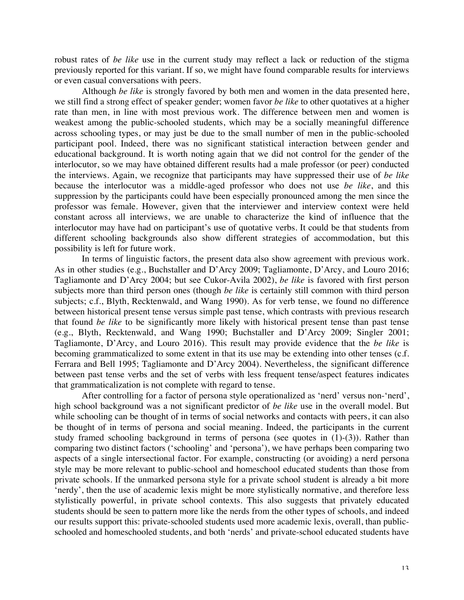robust rates of *be like* use in the current study may reflect a lack or reduction of the stigma previously reported for this variant. If so, we might have found comparable results for interviews or even casual conversations with peers.

Although *be like* is strongly favored by both men and women in the data presented here, we still find a strong effect of speaker gender; women favor *be like* to other quotatives at a higher rate than men, in line with most previous work. The difference between men and women is weakest among the public-schooled students, which may be a socially meaningful difference across schooling types, or may just be due to the small number of men in the public-schooled participant pool. Indeed, there was no significant statistical interaction between gender and educational background. It is worth noting again that we did not control for the gender of the interlocutor, so we may have obtained different results had a male professor (or peer) conducted the interviews. Again, we recognize that participants may have suppressed their use of *be like* because the interlocutor was a middle-aged professor who does not use *be like*, and this suppression by the participants could have been especially pronounced among the men since the professor was female. However, given that the interviewer and interview context were held constant across all interviews, we are unable to characterize the kind of influence that the interlocutor may have had on participant's use of quotative verbs. It could be that students from different schooling backgrounds also show different strategies of accommodation, but this possibility is left for future work.

In terms of linguistic factors, the present data also show agreement with previous work. As in other studies (e.g., Buchstaller and D'Arcy 2009; Tagliamonte, D'Arcy, and Louro 2016; Tagliamonte and D'Arcy 2004; but see Cukor-Avila 2002), *be like* is favored with first person subjects more than third person ones (though *be like* is certainly still common with third person subjects; c.f., Blyth, Recktenwald, and Wang 1990). As for verb tense, we found no difference between historical present tense versus simple past tense, which contrasts with previous research that found *be like* to be significantly more likely with historical present tense than past tense (e.g., Blyth, Recktenwald, and Wang 1990; Buchstaller and D'Arcy 2009; Singler 2001; Tagliamonte, D'Arcy, and Louro 2016). This result may provide evidence that the *be like* is becoming grammaticalized to some extent in that its use may be extending into other tenses (c.f. Ferrara and Bell 1995; Tagliamonte and D'Arcy 2004). Nevertheless, the significant difference between past tense verbs and the set of verbs with less frequent tense/aspect features indicates that grammaticalization is not complete with regard to tense.

After controlling for a factor of persona style operationalized as 'nerd' versus non-'nerd', high school background was a not significant predictor of *be like* use in the overall model. But while schooling can be thought of in terms of social networks and contacts with peers, it can also be thought of in terms of persona and social meaning. Indeed, the participants in the current study framed schooling background in terms of persona (see quotes in (1)-(3)). Rather than comparing two distinct factors ('schooling' and 'persona'), we have perhaps been comparing two aspects of a single intersectional factor. For example, constructing (or avoiding) a nerd persona style may be more relevant to public-school and homeschool educated students than those from private schools. If the unmarked persona style for a private school student is already a bit more 'nerdy', then the use of academic lexis might be more stylistically normative, and therefore less stylistically powerful, in private school contexts. This also suggests that privately educated students should be seen to pattern more like the nerds from the other types of schools, and indeed our results support this: private-schooled students used more academic lexis, overall, than publicschooled and homeschooled students, and both 'nerds' and private-school educated students have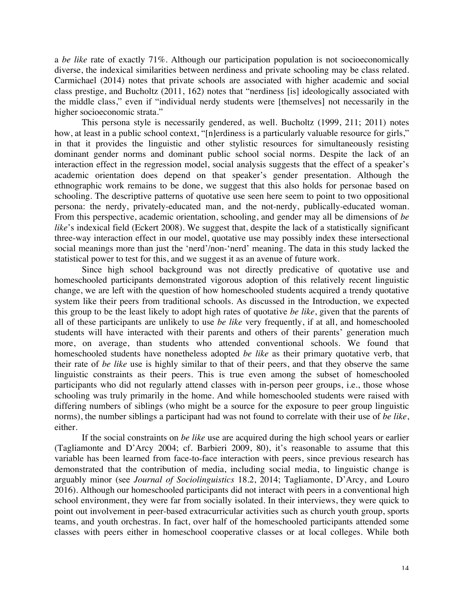a *be like* rate of exactly 71%. Although our participation population is not socioeconomically diverse, the indexical similarities between nerdiness and private schooling may be class related. Carmichael (2014) notes that private schools are associated with higher academic and social class prestige, and Bucholtz (2011, 162) notes that "nerdiness [is] ideologically associated with the middle class," even if "individual nerdy students were [themselves] not necessarily in the higher socioeconomic strata."

This persona style is necessarily gendered, as well. Bucholtz (1999, 211; 2011) notes how, at least in a public school context, "[n]erdiness is a particularly valuable resource for girls," in that it provides the linguistic and other stylistic resources for simultaneously resisting dominant gender norms and dominant public school social norms. Despite the lack of an interaction effect in the regression model, social analysis suggests that the effect of a speaker's academic orientation does depend on that speaker's gender presentation. Although the ethnographic work remains to be done, we suggest that this also holds for personae based on schooling. The descriptive patterns of quotative use seen here seem to point to two oppositional persona: the nerdy, privately-educated man, and the not-nerdy, publically-educated woman. From this perspective, academic orientation, schooling, and gender may all be dimensions of *be like*'s indexical field (Eckert 2008). We suggest that, despite the lack of a statistically significant three-way interaction effect in our model, quotative use may possibly index these intersectional social meanings more than just the 'nerd'/non-'nerd' meaning. The data in this study lacked the statistical power to test for this, and we suggest it as an avenue of future work.

Since high school background was not directly predicative of quotative use and homeschooled participants demonstrated vigorous adoption of this relatively recent linguistic change, we are left with the question of how homeschooled students acquired a trendy quotative system like their peers from traditional schools. As discussed in the Introduction, we expected this group to be the least likely to adopt high rates of quotative *be like*, given that the parents of all of these participants are unlikely to use *be like* very frequently, if at all, and homeschooled students will have interacted with their parents and others of their parents' generation much more, on average, than students who attended conventional schools. We found that homeschooled students have nonetheless adopted *be like* as their primary quotative verb, that their rate of *be like* use is highly similar to that of their peers, and that they observe the same linguistic constraints as their peers. This is true even among the subset of homeschooled participants who did not regularly attend classes with in-person peer groups, i.e., those whose schooling was truly primarily in the home. And while homeschooled students were raised with differing numbers of siblings (who might be a source for the exposure to peer group linguistic norms), the number siblings a participant had was not found to correlate with their use of *be like*, either.

If the social constraints on *be like* use are acquired during the high school years or earlier (Tagliamonte and D'Arcy 2004; cf. Barbieri 2009, 80), it's reasonable to assume that this variable has been learned from face-to-face interaction with peers, since previous research has demonstrated that the contribution of media, including social media, to linguistic change is arguably minor (see *Journal of Sociolinguistics* 18.2, 2014; Tagliamonte, D'Arcy, and Louro 2016). Although our homeschooled participants did not interact with peers in a conventional high school environment, they were far from socially isolated. In their interviews, they were quick to point out involvement in peer-based extracurricular activities such as church youth group, sports teams, and youth orchestras. In fact, over half of the homeschooled participants attended some classes with peers either in homeschool cooperative classes or at local colleges. While both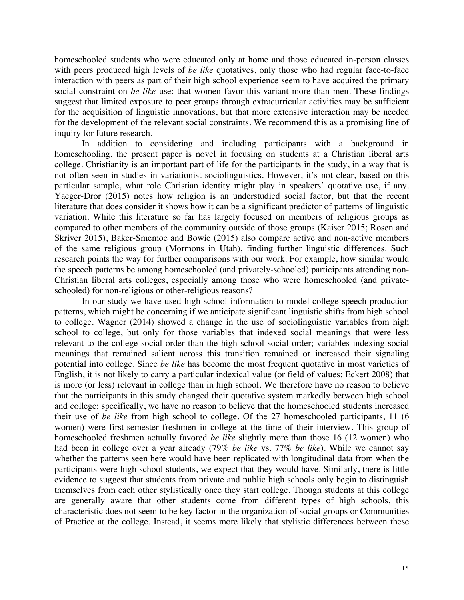homeschooled students who were educated only at home and those educated in-person classes with peers produced high levels of *be like* quotatives, only those who had regular face-to-face interaction with peers as part of their high school experience seem to have acquired the primary social constraint on *be like* use: that women favor this variant more than men. These findings suggest that limited exposure to peer groups through extracurricular activities may be sufficient for the acquisition of linguistic innovations, but that more extensive interaction may be needed for the development of the relevant social constraints. We recommend this as a promising line of inquiry for future research.

In addition to considering and including participants with a background in homeschooling, the present paper is novel in focusing on students at a Christian liberal arts college. Christianity is an important part of life for the participants in the study, in a way that is not often seen in studies in variationist sociolinguistics. However, it's not clear, based on this particular sample, what role Christian identity might play in speakers' quotative use, if any. Yaeger-Dror (2015) notes how religion is an understudied social factor, but that the recent literature that does consider it shows how it can be a significant predictor of patterns of linguistic variation. While this literature so far has largely focused on members of religious groups as compared to other members of the community outside of those groups (Kaiser 2015; Rosen and Skriver 2015), Baker-Smemoe and Bowie (2015) also compare active and non-active members of the same religious group (Mormons in Utah), finding further linguistic differences. Such research points the way for further comparisons with our work. For example, how similar would the speech patterns be among homeschooled (and privately-schooled) participants attending non-Christian liberal arts colleges, especially among those who were homeschooled (and privateschooled) for non-religious or other-religious reasons?

In our study we have used high school information to model college speech production patterns, which might be concerning if we anticipate significant linguistic shifts from high school to college. Wagner (2014) showed a change in the use of sociolinguistic variables from high school to college, but only for those variables that indexed social meanings that were less relevant to the college social order than the high school social order; variables indexing social meanings that remained salient across this transition remained or increased their signaling potential into college. Since *be like* has become the most frequent quotative in most varieties of English, it is not likely to carry a particular indexical value (or field of values; Eckert 2008) that is more (or less) relevant in college than in high school. We therefore have no reason to believe that the participants in this study changed their quotative system markedly between high school and college; specifically, we have no reason to believe that the homeschooled students increased their use of *be like* from high school to college. Of the 27 homeschooled participants, 11 (6 women) were first-semester freshmen in college at the time of their interview. This group of homeschooled freshmen actually favored *be like* slightly more than those 16 (12 women) who had been in college over a year already (79% *be like* vs. 77% *be like*). While we cannot say whether the patterns seen here would have been replicated with longitudinal data from when the participants were high school students, we expect that they would have. Similarly, there is little evidence to suggest that students from private and public high schools only begin to distinguish themselves from each other stylistically once they start college. Though students at this college are generally aware that other students come from different types of high schools, this characteristic does not seem to be key factor in the organization of social groups or Communities of Practice at the college. Instead, it seems more likely that stylistic differences between these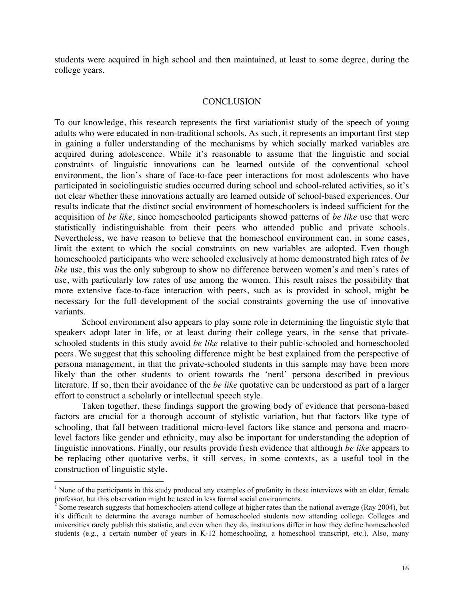students were acquired in high school and then maintained, at least to some degree, during the college years.

# **CONCLUSION**

To our knowledge, this research represents the first variationist study of the speech of young adults who were educated in non-traditional schools. As such, it represents an important first step in gaining a fuller understanding of the mechanisms by which socially marked variables are acquired during adolescence. While it's reasonable to assume that the linguistic and social constraints of linguistic innovations can be learned outside of the conventional school environment, the lion's share of face-to-face peer interactions for most adolescents who have participated in sociolinguistic studies occurred during school and school-related activities, so it's not clear whether these innovations actually are learned outside of school-based experiences. Our results indicate that the distinct social environment of homeschoolers is indeed sufficient for the acquisition of *be like*, since homeschooled participants showed patterns of *be like* use that were statistically indistinguishable from their peers who attended public and private schools. Nevertheless, we have reason to believe that the homeschool environment can, in some cases, limit the extent to which the social constraints on new variables are adopted. Even though homeschooled participants who were schooled exclusively at home demonstrated high rates of *be like* use, this was the only subgroup to show no difference between women's and men's rates of use, with particularly low rates of use among the women. This result raises the possibility that more extensive face-to-face interaction with peers, such as is provided in school, might be necessary for the full development of the social constraints governing the use of innovative variants.

School environment also appears to play some role in determining the linguistic style that speakers adopt later in life, or at least during their college years, in the sense that privateschooled students in this study avoid *be like* relative to their public-schooled and homeschooled peers. We suggest that this schooling difference might be best explained from the perspective of persona management, in that the private-schooled students in this sample may have been more likely than the other students to orient towards the 'nerd' persona described in previous literature. If so, then their avoidance of the *be like* quotative can be understood as part of a larger effort to construct a scholarly or intellectual speech style.

Taken together, these findings support the growing body of evidence that persona-based factors are crucial for a thorough account of stylistic variation, but that factors like type of schooling, that fall between traditional micro-level factors like stance and persona and macrolevel factors like gender and ethnicity, may also be important for understanding the adoption of linguistic innovations. Finally, our results provide fresh evidence that although *be like* appears to be replacing other quotative verbs, it still serves, in some contexts, as a useful tool in the construction of linguistic style.

 $<sup>1</sup>$  None of the participants in this study produced any examples of profanity in these interviews with an older, female</sup> professor, but this observation might be tested in less formal social environments.

 $2^2$  Some research suggests that homeschoolers attend college at higher rates than the national average (Ray 2004), but it's difficult to determine the average number of homeschooled students now attending college. Colleges and universities rarely publish this statistic, and even when they do, institutions differ in how they define homeschooled students (e.g., a certain number of years in K-12 homeschooling, a homeschool transcript, etc.). Also, many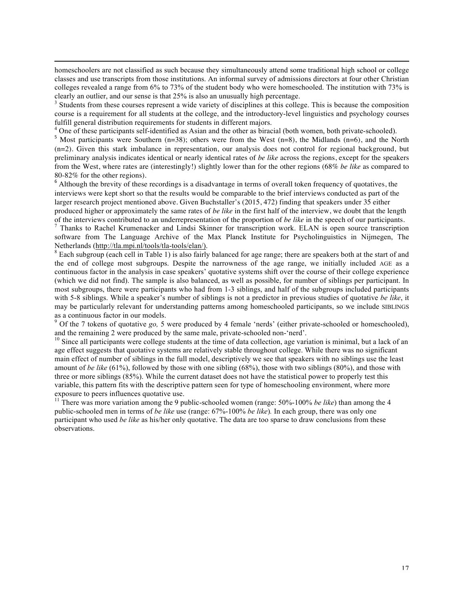homeschoolers are not classified as such because they simultaneously attend some traditional high school or college classes and use transcripts from those institutions. An informal survey of admissions directors at four other Christian colleges revealed a range from 6% to 73% of the student body who were homeschooled. The institution with 73% is clearly an outlier, and our sense is that  $25\%$  is also an unusually high percentage.<br><sup>3</sup> Students from these courses represent a wide variety of disciplines at this college. This is because the composition

<u> 1989 - Jan Salaman, masjid a shekarar 1989 - André Salaman a shekara ta 1989 - André Salaman a shekara ta 19</u>

course is a requirement for all students at the college, and the introductory-level linguistics and psychology courses fulfill general distribution requirements for students in different majors.<br><sup>4</sup> One of these participants self-identified as Asian and the other as biracial (both women, both private-schooled).

<sup>5</sup> Most participants self-identified as Asian and the other as biracial (both private-schooled). 5 Most participants were Southern (n=38); others were from the West (n=8), the Midlands (n=6), and the North (n=2). Given this stark imbalance in representation, our analysis does not control for regional background, but preliminary analysis indicates identical or nearly identical rates of *be like* across the regions, except for the speakers from the West, where rates are (interestingly!) slightly lower than for the other regions (68% *be like* as compared to 80-82% for the other regions). <sup>6</sup> Although the brevity of these recordings is a disadvantage in terms of overall token frequency of quotatives, the

interviews were kept short so that the results would be comparable to the brief interviews conducted as part of the larger research project mentioned above. Given Buchstaller's (2015, 472) finding that speakers under 35 either produced higher or approximately the same rates of *be like* in the first half of the interview, we doubt that the length of the interviews contributed to an underrepresentation of the proportion of *be like* in the speech of our participants.<br><sup>7</sup> Thanks to Rachel Krumenacker and Lindsi Skinner for transcription work. ELAN is open source tra

software from The Language Archive of the Max Planck Institute for Psycholinguistics in Nijmegen, The Netherlands (http://tla.mpi.nl/tools/tla-tools/elan/).<br><sup>8</sup> Each subgroup (each cell in Table 1) is also fairly balanced for age range; there are speakers both at the start of and

the end of college most subgroups. Despite the narrowness of the age range, we initially included AGE as a continuous factor in the analysis in case speakers' quotative systems shift over the course of their college experience (which we did not find). The sample is also balanced, as well as possible, for number of siblings per participant. In most subgroups, there were participants who had from 1-3 siblings, and half of the subgroups included participants with 5-8 siblings. While a speaker's number of siblings is not a predictor in previous studies of quotative *be like*, it may be particularly relevant for understanding patterns among homeschooled participants, so we include SIBLINGS as a continuous factor in our models.

<sup>9</sup> Of the 7 tokens of quotative *go*, 5 were produced by 4 female 'nerds' (either private-schooled or homeschooled), and the remaining 2 were produced by the same male, private-schooled non-'nerd'.

 $10$  Since all participants were college students at the time of data collection, age variation is minimal, but a lack of an age effect suggests that quotative systems are relatively stable throughout college. While there was no significant main effect of number of siblings in the full model, descriptively we see that speakers with no siblings use the least amount of *be like* (61%), followed by those with one sibling (68%), those with two siblings (80%), and those with three or more siblings (85%). While the current dataset does not have the statistical power to properly test this variable, this pattern fits with the descriptive pattern seen for type of homeschooling environment, where more exposure to peers influences quotative use.<br><sup>11</sup> There was more variation among the 9 public-schooled women (range: 50%-100% *be like*) than among the 4

public-schooled men in terms of *be like* use (range: 67%-100% *be like*)*.* In each group, there was only one participant who used *be like* as his/her only quotative. The data are too sparse to draw conclusions from these observations.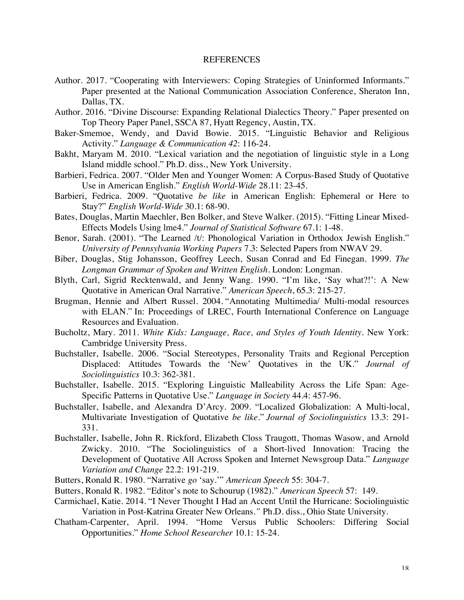# **REFERENCES**

- Author. 2017. "Cooperating with Interviewers: Coping Strategies of Uninformed Informants." Paper presented at the National Communication Association Conference, Sheraton Inn, Dallas, TX.
- Author. 2016. "Divine Discourse: Expanding Relational Dialectics Theory." Paper presented on Top Theory Paper Panel, SSCA 87, Hyatt Regency, Austin, TX.
- Baker-Smemoe, Wendy, and David Bowie. 2015. "Linguistic Behavior and Religious Activity." *Language & Communication 42*: 116-24.
- Bakht, Maryam M. 2010. "Lexical variation and the negotiation of linguistic style in a Long Island middle school." Ph.D. diss., New York University.
- Barbieri, Fedrica. 2007. "Older Men and Younger Women: A Corpus-Based Study of Quotative Use in American English." *English World-Wide* 28.11: 23-45.
- Barbieri, Fedrica. 2009. "Quotative *be like* in American English: Ephemeral or Here to Stay?" *English World-Wide* 30.1: 68-90.
- Bates, Douglas, Martin Maechler, Ben Bolker, and Steve Walker. (2015). "Fitting Linear Mixed-Effects Models Using lme4." *Journal of Statistical Software* 67.1: 1-48.
- Benor, Sarah. (2001). "The Learned /t/: Phonological Variation in Orthodox Jewish English." *University of Pennsylvania Working Papers* 7.3: Selected Papers from NWAV 29.
- Biber, Douglas, Stig Johansson, Geoffrey Leech, Susan Conrad and Ed Finegan. 1999. *The Longman Grammar of Spoken and Written English*. London: Longman.
- Blyth, Carl, Sigrid Recktenwald, and Jenny Wang. 1990. "I'm like, 'Say what?!': A New Quotative in American Oral Narrative." *American Speech*, 65.3: 215-27.
- Brugman, Hennie and Albert Russel. 2004. "Annotating Multimedia/ Multi-modal resources with ELAN." In: Proceedings of LREC, Fourth International Conference on Language Resources and Evaluation.
- Bucholtz, Mary. 2011. *White Kids: Language, Race, and Styles of Youth Identity.* New York: Cambridge University Press.
- Buchstaller, Isabelle. 2006. "Social Stereotypes, Personality Traits and Regional Perception Displaced: Attitudes Towards the 'New' Quotatives in the UK." *Journal of Sociolinguistics* 10.3: 362-381.
- Buchstaller, Isabelle. 2015. "Exploring Linguistic Malleability Across the Life Span: Age-Specific Patterns in Quotative Use." *Language in Society* 44.4: 457-96.
- Buchstaller, Isabelle, and Alexandra D'Arcy. 2009. "Localized Globalization: A Multi-local, Multivariate Investigation of Quotative *be like*." *Journal of Sociolinguistics* 13.3: 291- 331.
- Buchstaller, Isabelle, John R. Rickford, Elizabeth Closs Traugott, Thomas Wasow, and Arnold Zwicky. 2010. "The Sociolinguistics of a Short-lived Innovation: Tracing the Development of Quotative All Across Spoken and Internet Newsgroup Data." *Language Variation and Change* 22.2: 191-219.
- Butters, Ronald R. 1980. "Narrative *go* 'say.'" *American Speech* 55: 304-7.
- Butters, Ronald R. 1982. "Editor's note to Schourup (1982)." *American Speech* 57: 149.
- Carmichael, Katie. 2014. "I Never Thought I Had an Accent Until the Hurricane: Sociolinguistic Variation in Post-Katrina Greater New Orleans*."* Ph.D. diss., Ohio State University.
- Chatham-Carpenter, April. 1994. "Home Versus Public Schoolers: Differing Social Opportunities." *Home School Researcher* 10.1: 15-24.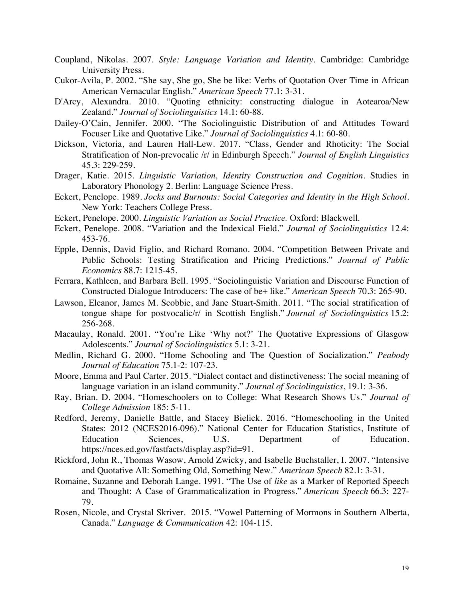- Coupland, Nikolas. 2007. *Style: Language Variation and Identity*. Cambridge: Cambridge University Press.
- Cukor-Avila, P. 2002. "She say, She go, She be like: Verbs of Quotation Over Time in African American Vernacular English." *American Speech* 77.1: 3-31.
- D'Arcy, Alexandra. 2010. "Quoting ethnicity: constructing dialogue in Aotearoa/New Zealand." *Journal of Sociolinguistics* 14.1: 60-88.
- Dailey-O'Cain, Jennifer. 2000. "The Sociolinguistic Distribution of and Attitudes Toward Focuser Like and Quotative Like." *Journal of Sociolinguistics* 4.1: 60-80.
- Dickson, Victoria, and Lauren Hall-Lew. 2017. "Class, Gender and Rhoticity: The Social Stratification of Non-prevocalic /r/ in Edinburgh Speech." *Journal of English Linguistics*  45.3: 229-259.
- Drager, Katie. 2015. *Linguistic Variation, Identity Construction and Cognition*. Studies in Laboratory Phonology 2. Berlin: Language Science Press.
- Eckert, Penelope. 1989. *Jocks and Burnouts: Social Categories and Identity in the High School.*  New York: Teachers College Press.
- Eckert, Penelope. 2000. *Linguistic Variation as Social Practice.* Oxford: Blackwell.
- Eckert, Penelope. 2008. "Variation and the Indexical Field." *Journal of Sociolinguistics* 12.4: 453-76.
- Epple, Dennis, David Figlio, and Richard Romano. 2004. "Competition Between Private and Public Schools: Testing Stratification and Pricing Predictions." *Journal of Public Economics* 88.7: 1215-45.
- Ferrara, Kathleen, and Barbara Bell. 1995. "Sociolinguistic Variation and Discourse Function of Constructed Dialogue Introducers: The case of be+ like." *American Speech* 70.3: 265-90.
- Lawson, Eleanor, James M. Scobbie, and Jane Stuart-Smith. 2011. "The social stratification of tongue shape for postvocalic/r/ in Scottish English." *Journal of Sociolinguistics* 15.2: 256-268.
- Macaulay, Ronald. 2001. "You're Like 'Why not?' The Quotative Expressions of Glasgow Adolescents." *Journal of Sociolinguistics* 5.1: 3-21.
- Medlin, Richard G. 2000. "Home Schooling and The Question of Socialization." *Peabody Journal of Education* 75.1-2: 107-23.
- Moore, Emma and Paul Carter. 2015. "Dialect contact and distinctiveness: The social meaning of language variation in an island community." *Journal of Sociolinguistics*, 19.1: 3-36.
- Ray, Brian. D. 2004. "Homeschoolers on to College: What Research Shows Us." *Journal of College Admission* 185: 5-11.
- Redford, Jeremy, Danielle Battle, and Stacey Bielick. 2016. "Homeschooling in the United States: 2012 (NCES2016-096)." National Center for Education Statistics, Institute of Education Sciences, U.S. Department of Education. https://nces.ed.gov/fastfacts/display.asp?id=91.
- Rickford, John R., Thomas Wasow, Arnold Zwicky, and Isabelle Buchstaller, I. 2007. "Intensive and Quotative All: Something Old, Something New." *American Speech* 82.1: 3-31.
- Romaine, Suzanne and Deborah Lange. 1991. "The Use of *like* as a Marker of Reported Speech and Thought: A Case of Grammaticalization in Progress." *American Speech* 66.3: 227- 79.
- Rosen, Nicole, and Crystal Skriver. 2015. "Vowel Patterning of Mormons in Southern Alberta, Canada." *Language & Communication* 42: 104-115.